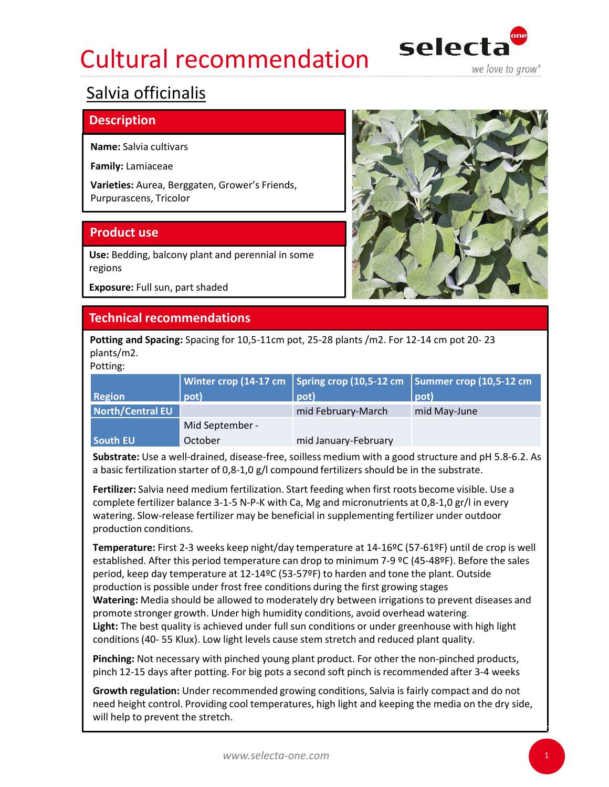# Cultural recommendation selecta



### Salvia officinalis

### **Description**

Name: Salvia cultivars

| Family: Lamiaceae               |                                                                                               |                         |                                                                                                       |  |  |  |  |  |
|---------------------------------|-----------------------------------------------------------------------------------------------|-------------------------|-------------------------------------------------------------------------------------------------------|--|--|--|--|--|
|                                 | Varieties: Aurea, Berggaten, Grower's Friends,<br>Purpurascens, Tricolor                      |                         |                                                                                                       |  |  |  |  |  |
| <b>Product use</b>              |                                                                                               |                         |                                                                                                       |  |  |  |  |  |
| regions                         | Use: Bedding, balcony plant and perennial in some                                             |                         |                                                                                                       |  |  |  |  |  |
| Exposure: Full sun, part shaded |                                                                                               |                         |                                                                                                       |  |  |  |  |  |
|                                 | <b>Technical recommendations</b>                                                              |                         |                                                                                                       |  |  |  |  |  |
| plants/m2.<br>Potting:          | Potting and Spacing: Spacing for 10,5-11cm pot, 25-28 plants /m2. For 12-14 cm pot 20-23      |                         |                                                                                                       |  |  |  |  |  |
|                                 | Winter crop (14-17 cm                                                                         | Spring crop (10,5-12 cm | Summer crop (10,5-12 cm                                                                               |  |  |  |  |  |
| <b>Region</b>                   | pot)                                                                                          | pot)                    | pot)                                                                                                  |  |  |  |  |  |
| <b>North/Central EU</b>         |                                                                                               | mid February-March      | mid May-June                                                                                          |  |  |  |  |  |
|                                 | Mid September -                                                                               |                         |                                                                                                       |  |  |  |  |  |
| South EU                        | October                                                                                       | mid January-February    |                                                                                                       |  |  |  |  |  |
|                                 | a basic fertilization starter of 0,8-1,0 g/l compound fertilizers should be in the substrate. |                         | Substrate: Use a well-drained, disease-free, soilless medium with a good structure and pH 5.8-6.2. As |  |  |  |  |  |
|                                 |                                                                                               |                         |                                                                                                       |  |  |  |  |  |

Fertilizer: Salvia need medium fertilization. Start feeding when first roots become visible. Use a complete fertilizer balance 3-1-5 N-P-K with Ca, Mg and micronutrients at 0,8-1,0 gr/l in every watering. Slow-release fertilizer may be beneficial in supplementing fertilizer under outdoor production conditions.

Temperature: First 2-3 weeks keep night/day temperature at 14-16ºC (57-61ºF) until de crop is well established. After this period temperature can drop to minimum 7-9 ºC (45-48ºF). Before the sales period, keep day temperature at 12-14ºC (53-57ºF) to harden and tone the plant. Outside production is possible under frost free conditions during the first growing stages Watering: Media should be allowed to moderately dry between irrigations to prevent diseases and promote stronger growth. Under high humidity conditions, avoid overhead watering. Light: The best quality is achieved under full sun conditions or under greenhouse with high light Region **and the matrix** EU mid February-March mid May-June<br>
South EU Mid September -<br>
South EU October mid January-February<br>
Substrate: Use a well-drained, disease-free, soilless medium with a good structure and pH 5.8-6.2 South EU Mid September - mid January-February<br>
Substrate: Use a well-drained, disease-free, soilless medium with a good structure and pH 5.8-6.2. As<br>
abasic fertilization starter of 0,8-1,0 g/l compound fertilizers should Substrate: Use a well-drained, disease-free, soilless medium with a good structure and pH 5.8-6.2. As<br>a basic fertilization starter of 0,8-1,0 g/l compound fertilizers should be in the substrate.<br>Fertilizer: Salvia need me

Pinching: Not necessary with pinched young plant product. For other the non-pinched products,

need height control. Providing cool temperatures, high light and keeping the media on the dry side, will help to prevent the stretch.



1